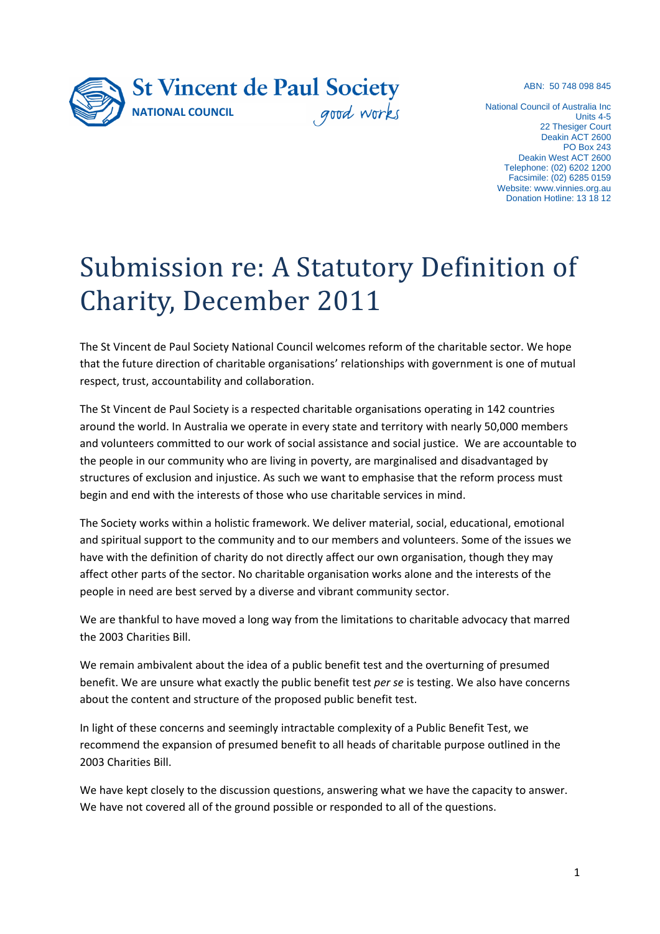ABN: 50 748 098 845



National Council of Australia Inc Units 4-5 22 Thesiger Court Deakin ACT 2600 PO Box 243 Deakin West ACT 2600 Telephone: (02) 6202 1200 Facsimile: (02) 6285 0159 Website: [www.vinnies.org.au](http://www.vinnies.org.au/) Donation Hotline: 13 18 12

# Submission re: A Statutory Definition of Charity, December 2011

The St Vincent de Paul Society National Council welcomes reform of the charitable sector. We hope that the future direction of charitable organisations' relationships with government is one of mutual respect, trust, accountability and collaboration.

The St Vincent de Paul Society is a respected charitable organisations operating in 142 countries around the world. In Australia we operate in every state and territory with nearly 50,000 members and volunteers committed to our work of social assistance and social justice. We are accountable to the people in our community who are living in poverty, are marginalised and disadvantaged by structures of exclusion and injustice. As such we want to emphasise that the reform process must begin and end with the interests of those who use charitable services in mind.

The Society works within a holistic framework. We deliver material, social, educational, emotional and spiritual support to the community and to our members and volunteers. Some of the issues we have with the definition of charity do not directly affect our own organisation, though they may affect other parts of the sector. No charitable organisation works alone and the interests of the people in need are best served by a diverse and vibrant community sector.

We are thankful to have moved a long way from the limitations to charitable advocacy that marred the 2003 Charities Bill.

We remain ambivalent about the idea of a public benefit test and the overturning of presumed benefit. We are unsure what exactly the public benefit test *per se* is testing. We also have concerns about the content and structure of the proposed public benefit test.

In light of these concerns and seemingly intractable complexity of a Public Benefit Test, we recommend the expansion of presumed benefit to all heads of charitable purpose outlined in the 2003 Charities Bill.

We have kept closely to the discussion questions, answering what we have the capacity to answer. We have not covered all of the ground possible or responded to all of the questions.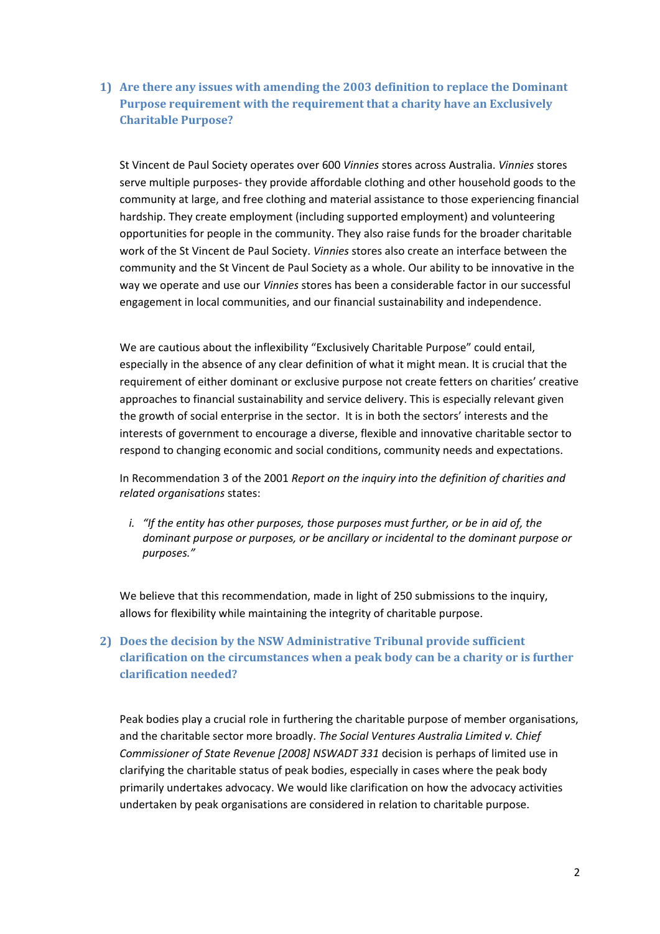**1) Are there any issues with amending the 2003 definition to replace the Dominant Purpose requirement with the requirement that a charity have an Exclusively Charitable Purpose?**

St Vincent de Paul Society operates over 600 *Vinnies* stores across Australia. *Vinnies* stores serve multiple purposes- they provide affordable clothing and other household goods to the community at large, and free clothing and material assistance to those experiencing financial hardship. They create employment (including supported employment) and volunteering opportunities for people in the community. They also raise funds for the broader charitable work of the St Vincent de Paul Society. *Vinnies* stores also create an interface between the community and the St Vincent de Paul Society as a whole. Our ability to be innovative in the way we operate and use our *Vinnies* stores has been a considerable factor in our successful engagement in local communities, and our financial sustainability and independence.

We are cautious about the inflexibility "Exclusively Charitable Purpose" could entail, especially in the absence of any clear definition of what it might mean. It is crucial that the requirement of either dominant or exclusive purpose not create fetters on charities' creative approaches to financial sustainability and service delivery. This is especially relevant given the growth of social enterprise in the sector. It is in both the sectors' interests and the interests of government to encourage a diverse, flexible and innovative charitable sector to respond to changing economic and social conditions, community needs and expectations.

In Recommendation 3 of the 2001 *Report on the inquiry into the definition of charities and related organisations* states:

*i. "If the entity has other purposes, those purposes must further, or be in aid of, the dominant purpose or purposes, or be ancillary or incidental to the dominant purpose or purposes."*

We believe that this recommendation, made in light of 250 submissions to the inquiry, allows for flexibility while maintaining the integrity of charitable purpose.

# **2) Does the decision by the NSW Administrative Tribunal provide sufficient clarification on the circumstances when a peak body can be a charity or is further clarification needed?**

Peak bodies play a crucial role in furthering the charitable purpose of member organisations, and the charitable sector more broadly. *The Social Ventures Australia Limited v. Chief Commissioner of State Revenue [2008] NSWADT 331* decision is perhaps of limited use in clarifying the charitable status of peak bodies, especially in cases where the peak body primarily undertakes advocacy. We would like clarification on how the advocacy activities undertaken by peak organisations are considered in relation to charitable purpose.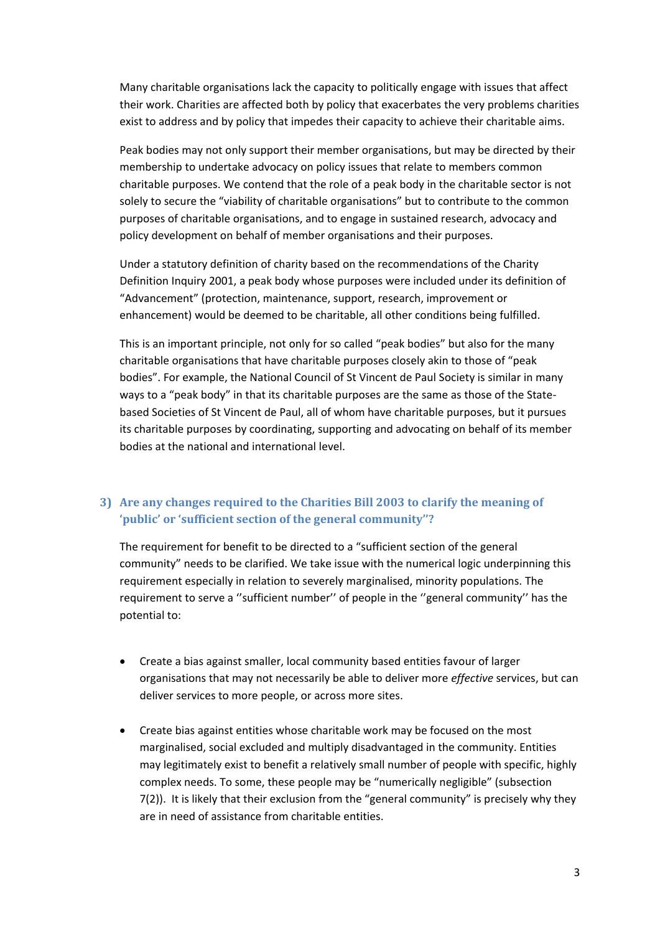Many charitable organisations lack the capacity to politically engage with issues that affect their work. Charities are affected both by policy that exacerbates the very problems charities exist to address and by policy that impedes their capacity to achieve their charitable aims.

Peak bodies may not only support their member organisations, but may be directed by their membership to undertake advocacy on policy issues that relate to members common charitable purposes. We contend that the role of a peak body in the charitable sector is not solely to secure the "viability of charitable organisations" but to contribute to the common purposes of charitable organisations, and to engage in sustained research, advocacy and policy development on behalf of member organisations and their purposes.

Under a statutory definition of charity based on the recommendations of the Charity Definition Inquiry 2001, a peak body whose purposes were included under its definition of "Advancement" (protection, maintenance, support, research, improvement or enhancement) would be deemed to be charitable, all other conditions being fulfilled.

This is an important principle, not only for so called "peak bodies" but also for the many charitable organisations that have charitable purposes closely akin to those of "peak bodies". For example, the National Council of St Vincent de Paul Society is similar in many ways to a "peak body" in that its charitable purposes are the same as those of the Statebased Societies of St Vincent de Paul, all of whom have charitable purposes, but it pursues its charitable purposes by coordinating, supporting and advocating on behalf of its member bodies at the national and international level.

## **3) Are any changes required to the Charities Bill 2003 to clarify the meaning of 'public' or 'sufficient section of the general community''?**

The requirement for benefit to be directed to a "sufficient section of the general community" needs to be clarified. We take issue with the numerical logic underpinning this requirement especially in relation to severely marginalised, minority populations. The requirement to serve a ''sufficient number'' of people in the ''general community'' has the potential to:

- Create a bias against smaller, local community based entities favour of larger organisations that may not necessarily be able to deliver more *effective* services, but can deliver services to more people, or across more sites.
- Create bias against entities whose charitable work may be focused on the most marginalised, social excluded and multiply disadvantaged in the community. Entities may legitimately exist to benefit a relatively small number of people with specific, highly complex needs. To some, these people may be "numerically negligible" (subsection 7(2)). It is likely that their exclusion from the "general community" is precisely why they are in need of assistance from charitable entities.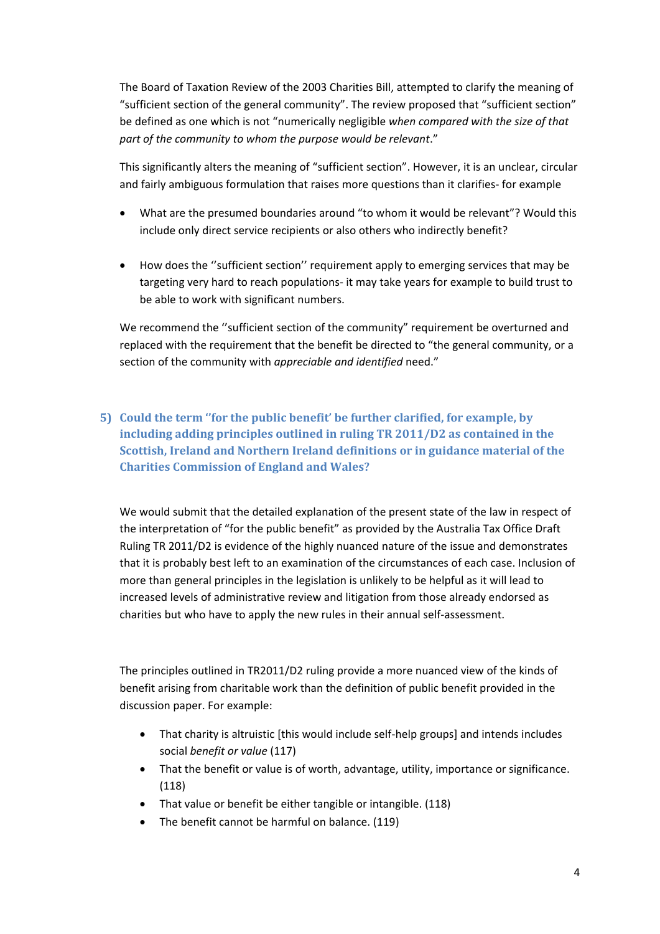The Board of Taxation Review of the 2003 Charities Bill, attempted to clarify the meaning of "sufficient section of the general community". The review proposed that "sufficient section" be defined as one which is not "numerically negligible *when compared with the size of that part of the community to whom the purpose would be relevant*."

This significantly alters the meaning of "sufficient section". However, it is an unclear, circular and fairly ambiguous formulation that raises more questions than it clarifies- for example

- What are the presumed boundaries around "to whom it would be relevant"? Would this include only direct service recipients or also others who indirectly benefit?
- How does the ''sufficient section'' requirement apply to emerging services that may be targeting very hard to reach populations- it may take years for example to build trust to be able to work with significant numbers.

We recommend the "sufficient section of the community" requirement be overturned and replaced with the requirement that the benefit be directed to "the general community, or a section of the community with *appreciable and identified* need."

**5) Could the term ''for the public benefit' be further clarified, for example, by including adding principles outlined in ruling TR 2011/D2 as contained in the Scottish, Ireland and Northern Ireland definitions or in guidance material of the Charities Commission of England and Wales?** 

We would submit that the detailed explanation of the present state of the law in respect of the interpretation of "for the public benefit" as provided by the Australia Tax Office Draft Ruling TR 2011/D2 is evidence of the highly nuanced nature of the issue and demonstrates that it is probably best left to an examination of the circumstances of each case. Inclusion of more than general principles in the legislation is unlikely to be helpful as it will lead to increased levels of administrative review and litigation from those already endorsed as charities but who have to apply the new rules in their annual self-assessment.

The principles outlined in TR2011/D2 ruling provide a more nuanced view of the kinds of benefit arising from charitable work than the definition of public benefit provided in the discussion paper. For example:

- That charity is altruistic [this would include self-help groups] and intends includes social *benefit or value* (117)
- That the benefit or value is of worth, advantage, utility, importance or significance. (118)
- That value or benefit be either tangible or intangible. (118)
- The benefit cannot be harmful on balance. (119)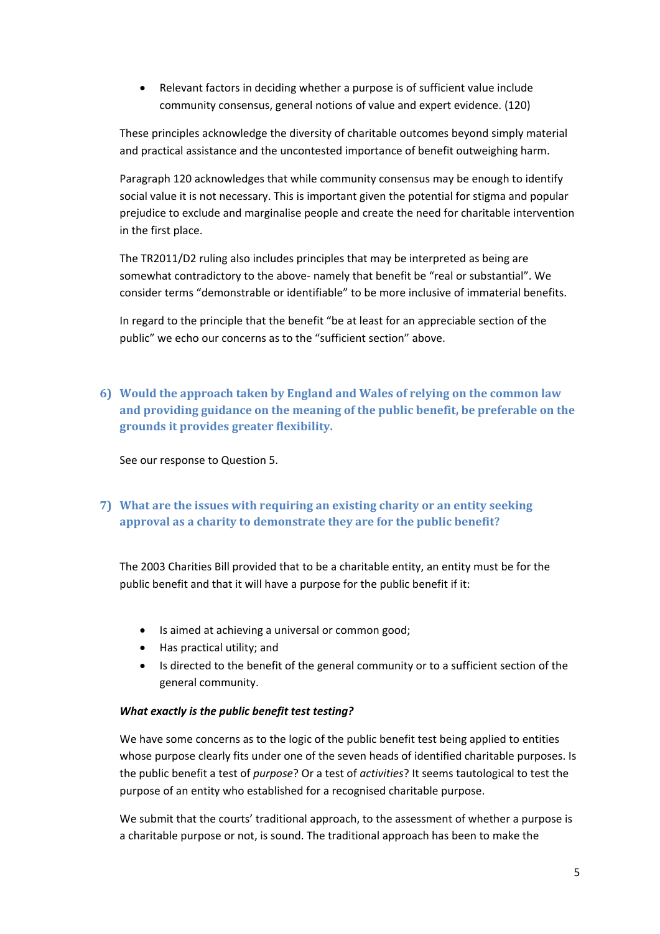Relevant factors in deciding whether a purpose is of sufficient value include community consensus, general notions of value and expert evidence. (120)

These principles acknowledge the diversity of charitable outcomes beyond simply material and practical assistance and the uncontested importance of benefit outweighing harm.

Paragraph 120 acknowledges that while community consensus may be enough to identify social value it is not necessary. This is important given the potential for stigma and popular prejudice to exclude and marginalise people and create the need for charitable intervention in the first place.

The TR2011/D2 ruling also includes principles that may be interpreted as being are somewhat contradictory to the above- namely that benefit be "real or substantial". We consider terms "demonstrable or identifiable" to be more inclusive of immaterial benefits.

In regard to the principle that the benefit "be at least for an appreciable section of the public" we echo our concerns as to the "sufficient section" above.

**6) Would the approach taken by England and Wales of relying on the common law and providing guidance on the meaning of the public benefit, be preferable on the grounds it provides greater flexibility.**

See our response to Question 5.

# **7) What are the issues with requiring an existing charity or an entity seeking approval as a charity to demonstrate they are for the public benefit?**

The 2003 Charities Bill provided that to be a charitable entity, an entity must be for the public benefit and that it will have a purpose for the public benefit if it:

- Is aimed at achieving a universal or common good;
- Has practical utility; and
- Is directed to the benefit of the general community or to a sufficient section of the general community.

#### *What exactly is the public benefit test testing?*

We have some concerns as to the logic of the public benefit test being applied to entities whose purpose clearly fits under one of the seven heads of identified charitable purposes. Is the public benefit a test of *purpose*? Or a test of *activities*? It seems tautological to test the purpose of an entity who established for a recognised charitable purpose.

We submit that the courts' traditional approach, to the assessment of whether a purpose is a charitable purpose or not, is sound. The traditional approach has been to make the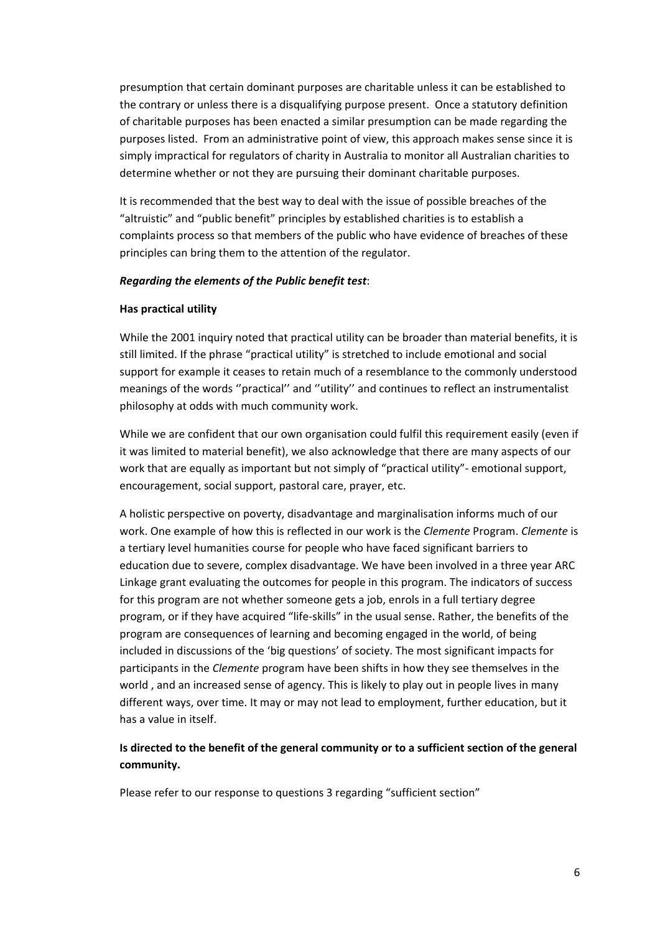presumption that certain dominant purposes are charitable unless it can be established to the contrary or unless there is a disqualifying purpose present. Once a statutory definition of charitable purposes has been enacted a similar presumption can be made regarding the purposes listed. From an administrative point of view, this approach makes sense since it is simply impractical for regulators of charity in Australia to monitor all Australian charities to determine whether or not they are pursuing their dominant charitable purposes.

It is recommended that the best way to deal with the issue of possible breaches of the "altruistic" and "public benefit" principles by established charities is to establish a complaints process so that members of the public who have evidence of breaches of these principles can bring them to the attention of the regulator.

#### *Regarding the elements of the Public benefit test*:

#### **Has practical utility**

While the 2001 inquiry noted that practical utility can be broader than material benefits, it is still limited. If the phrase "practical utility" is stretched to include emotional and social support for example it ceases to retain much of a resemblance to the commonly understood meanings of the words ''practical'' and ''utility'' and continues to reflect an instrumentalist philosophy at odds with much community work.

While we are confident that our own organisation could fulfil this requirement easily (even if it was limited to material benefit), we also acknowledge that there are many aspects of our work that are equally as important but not simply of "practical utility"- emotional support, encouragement, social support, pastoral care, prayer, etc.

A holistic perspective on poverty, disadvantage and marginalisation informs much of our work. One example of how this is reflected in our work is the *Clemente* Program. *Clemente* is a tertiary level humanities course for people who have faced significant barriers to education due to severe, complex disadvantage. We have been involved in a three year ARC Linkage grant evaluating the outcomes for people in this program. The indicators of success for this program are not whether someone gets a job, enrols in a full tertiary degree program, or if they have acquired "life-skills" in the usual sense. Rather, the benefits of the program are consequences of learning and becoming engaged in the world, of being included in discussions of the 'big questions' of society. The most significant impacts for participants in the *Clemente* program have been shifts in how they see themselves in the world , and an increased sense of agency. This is likely to play out in people lives in many different ways, over time. It may or may not lead to employment, further education, but it has a value in itself.

### **Is directed to the benefit of the general community or to a sufficient section of the general community.**

Please refer to our response to questions 3 regarding "sufficient section"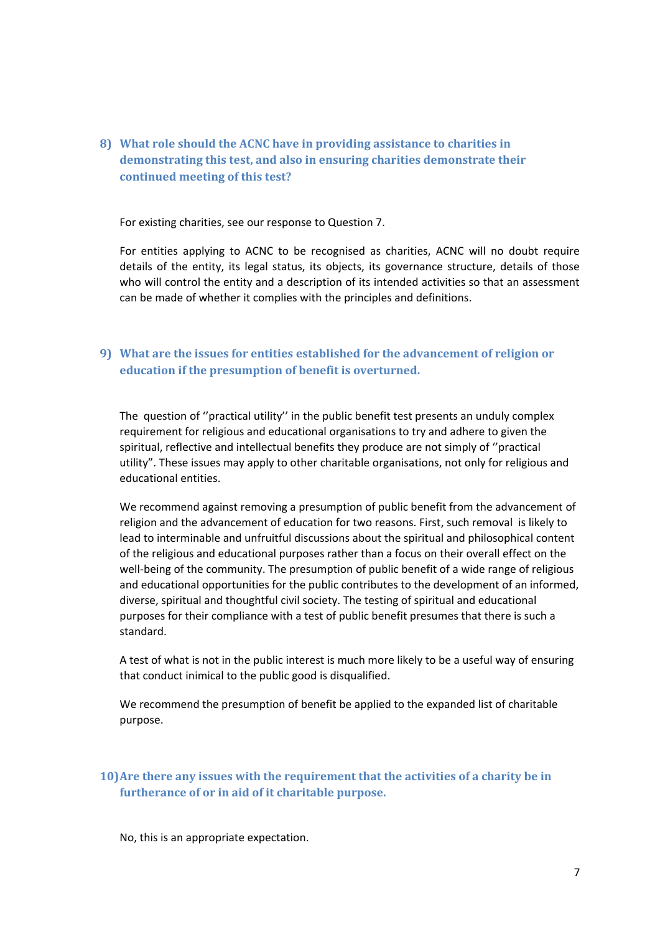**8) What role should the ACNC have in providing assistance to charities in demonstrating this test, and also in ensuring charities demonstrate their continued meeting of this test?**

For existing charities, see our response to Question 7.

For entities applying to ACNC to be recognised as charities, ACNC will no doubt require details of the entity, its legal status, its objects, its governance structure, details of those who will control the entity and a description of its intended activities so that an assessment can be made of whether it complies with the principles and definitions.

## **9) What are the issues for entities established for the advancement of religion or education if the presumption of benefit is overturned.**

The question of ''practical utility'' in the public benefit test presents an unduly complex requirement for religious and educational organisations to try and adhere to given the spiritual, reflective and intellectual benefits they produce are not simply of ''practical utility". These issues may apply to other charitable organisations, not only for religious and educational entities.

We recommend against removing a presumption of public benefit from the advancement of religion and the advancement of education for two reasons. First, such removal is likely to lead to interminable and unfruitful discussions about the spiritual and philosophical content of the religious and educational purposes rather than a focus on their overall effect on the well-being of the community. The presumption of public benefit of a wide range of religious and educational opportunities for the public contributes to the development of an informed, diverse, spiritual and thoughtful civil society. The testing of spiritual and educational purposes for their compliance with a test of public benefit presumes that there is such a standard.

A test of what is not in the public interest is much more likely to be a useful way of ensuring that conduct inimical to the public good is disqualified.

We recommend the presumption of benefit be applied to the expanded list of charitable purpose.

### **10)Are there any issues with the requirement that the activities of a charity be in furtherance of or in aid of it charitable purpose.**

No, this is an appropriate expectation.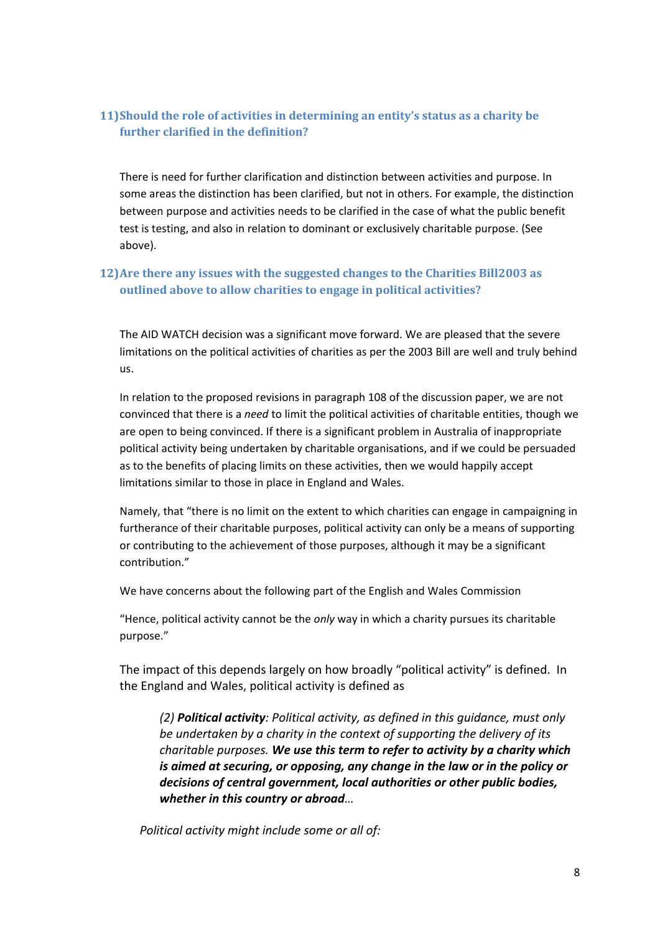## **11)Should the role of activities in determining an entity's status as a charity be further clarified in the definition?**

There is need for further clarification and distinction between activities and purpose. In some areas the distinction has been clarified, but not in others. For example, the distinction between purpose and activities needs to be clarified in the case of what the public benefit test is testing, and also in relation to dominant or exclusively charitable purpose. (See above).

## **12)Are there any issues with the suggested changes to the Charities Bill2003 as outlined above to allow charities to engage in political activities?**

The AID WATCH decision was a significant move forward. We are pleased that the severe limitations on the political activities of charities as per the 2003 Bill are well and truly behind us.

In relation to the proposed revisions in paragraph 108 of the discussion paper, we are not convinced that there is a *need* to limit the political activities of charitable entities, though we are open to being convinced. If there is a significant problem in Australia of inappropriate political activity being undertaken by charitable organisations, and if we could be persuaded as to the benefits of placing limits on these activities, then we would happily accept limitations similar to those in place in England and Wales.

Namely, that "there is no limit on the extent to which charities can engage in campaigning in furtherance of their charitable purposes, political activity can only be a means of supporting or contributing to the achievement of those purposes, although it may be a significant contribution."

We have concerns about the following part of the English and Wales Commission

"Hence, political activity cannot be the *only* way in which a charity pursues its charitable purpose."

The impact of this depends largely on how broadly "political activity" is defined. In the England and Wales, political activity is defined as

*(2) Political activity: Political activity, as defined in this guidance, must only be undertaken by a charity in the context of supporting the delivery of its charitable purposes. We use this term to refer to activity by a charity which is aimed at securing, or opposing, any change in the law or in the policy or decisions of central government, local authorities or other public bodies, whether in this country or abroad…*

*Political activity might include some or all of:*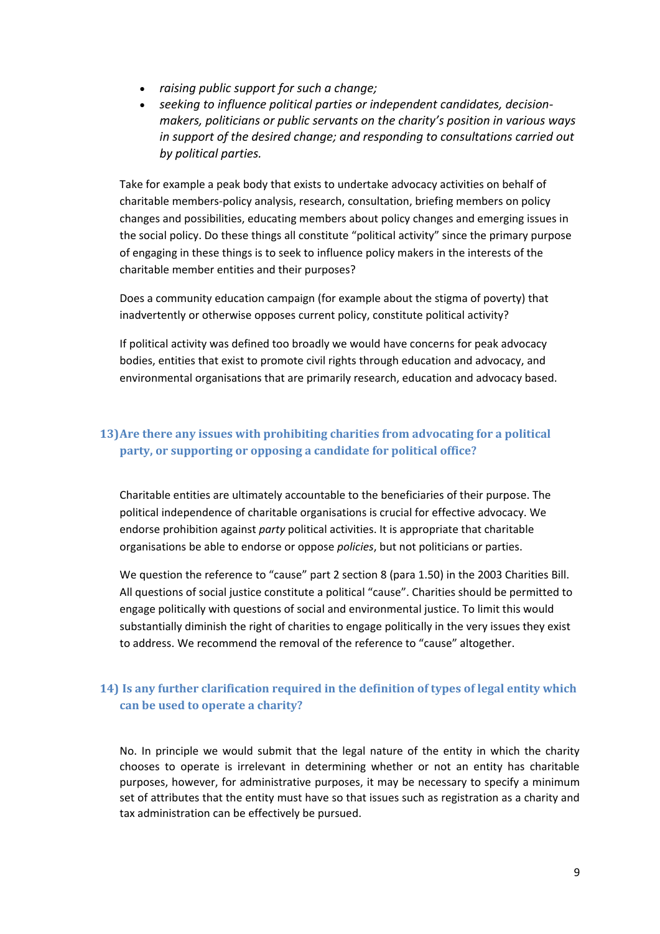- *raising public support for such a change;*
- *seeking to influence political parties or independent candidates, decisionmakers, politicians or public servants on the charity's position in various ways in support of the desired change; and responding to consultations carried out by political parties.*

Take for example a peak body that exists to undertake advocacy activities on behalf of charitable members-policy analysis, research, consultation, briefing members on policy changes and possibilities, educating members about policy changes and emerging issues in the social policy. Do these things all constitute "political activity" since the primary purpose of engaging in these things is to seek to influence policy makers in the interests of the charitable member entities and their purposes?

Does a community education campaign (for example about the stigma of poverty) that inadvertently or otherwise opposes current policy, constitute political activity?

If political activity was defined too broadly we would have concerns for peak advocacy bodies, entities that exist to promote civil rights through education and advocacy, and environmental organisations that are primarily research, education and advocacy based.

## **13)Are there any issues with prohibiting charities from advocating for a political party, or supporting or opposing a candidate for political office?**

Charitable entities are ultimately accountable to the beneficiaries of their purpose. The political independence of charitable organisations is crucial for effective advocacy. We endorse prohibition against *party* political activities. It is appropriate that charitable organisations be able to endorse or oppose *policies*, but not politicians or parties.

We question the reference to "cause" part 2 section 8 (para 1.50) in the 2003 Charities Bill. All questions of social justice constitute a political "cause". Charities should be permitted to engage politically with questions of social and environmental justice. To limit this would substantially diminish the right of charities to engage politically in the very issues they exist to address. We recommend the removal of the reference to "cause" altogether.

# **14) Is any further clarification required in the definition of types of legal entity which can be used to operate a charity?**

No. In principle we would submit that the legal nature of the entity in which the charity chooses to operate is irrelevant in determining whether or not an entity has charitable purposes, however, for administrative purposes, it may be necessary to specify a minimum set of attributes that the entity must have so that issues such as registration as a charity and tax administration can be effectively be pursued.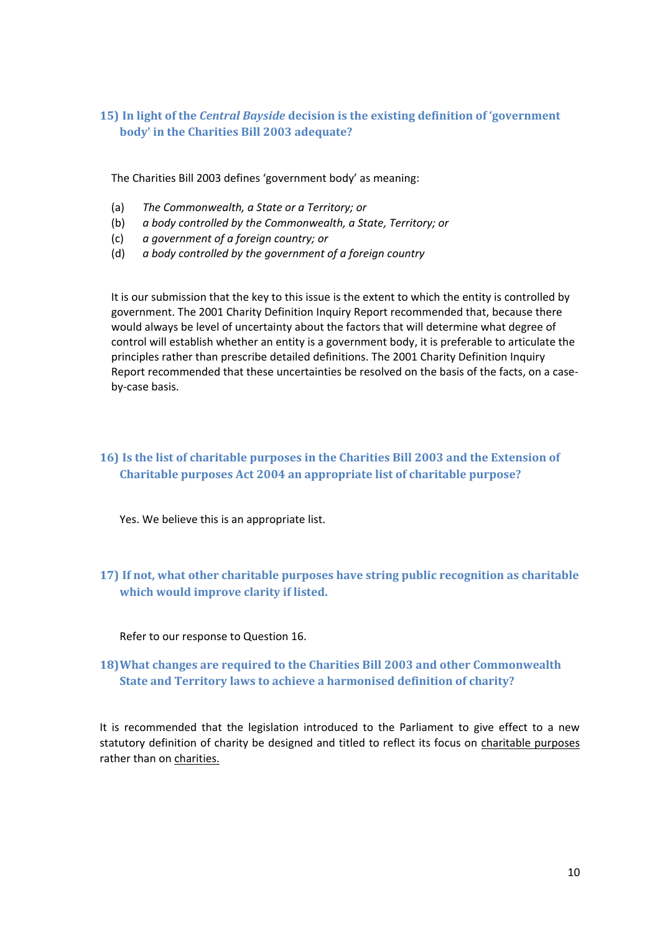## **15) In light of the** *Central Bayside* **decision is the existing definition of 'government body' in the Charities Bill 2003 adequate?**

The Charities Bill 2003 defines 'government body' as meaning:

- (a) *The Commonwealth, a State or a Territory; or*
- (b) *a body controlled by the Commonwealth, a State, Territory; or*
- (c) *a government of a foreign country; or*
- (d) *a body controlled by the government of a foreign country*

It is our submission that the key to this issue is the extent to which the entity is controlled by government. The 2001 Charity Definition Inquiry Report recommended that, because there would always be level of uncertainty about the factors that will determine what degree of control will establish whether an entity is a government body, it is preferable to articulate the principles rather than prescribe detailed definitions. The 2001 Charity Definition Inquiry Report recommended that these uncertainties be resolved on the basis of the facts, on a caseby-case basis.

## **16) Is the list of charitable purposes in the Charities Bill 2003 and the Extension of Charitable purposes Act 2004 an appropriate list of charitable purpose?**

Yes. We believe this is an appropriate list.

**17) If not, what other charitable purposes have string public recognition as charitable which would improve clarity if listed.**

Refer to our response to Question 16.

## **18)What changes are required to the Charities Bill 2003 and other Commonwealth State and Territory laws to achieve a harmonised definition of charity?**

It is recommended that the legislation introduced to the Parliament to give effect to a new statutory definition of charity be designed and titled to reflect its focus on charitable purposes rather than on charities.